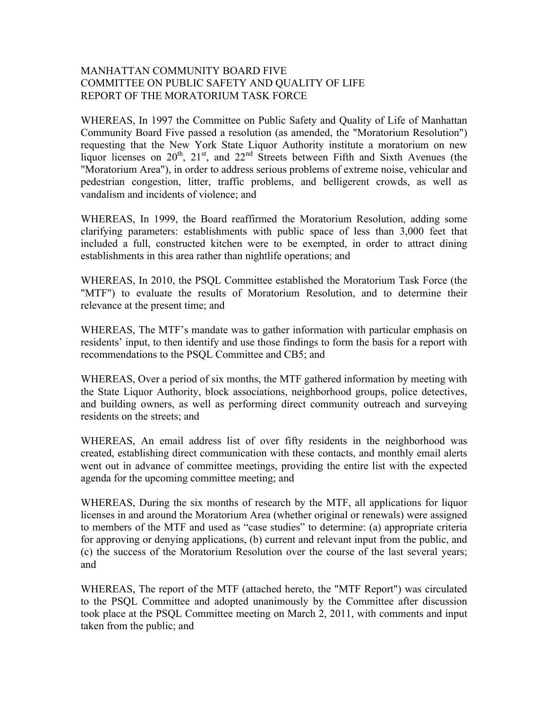## MANHATTAN COMMUNITY BOARD FIVE COMMITTEE ON PUBLIC SAFETY AND QUALITY OF LIFE REPORT OF THE MORATORIUM TASK FORCE

WHEREAS, In 1997 the Committee on Public Safety and Quality of Life of Manhattan Community Board Five passed a resolution (as amended, the "Moratorium Resolution") requesting that the New York State Liquor Authority institute a moratorium on new liquor licenses on  $20^{th}$ ,  $21^{st}$ , and  $22^{nd}$  Streets between Fifth and Sixth Avenues (the "Moratorium Area"), in order to address serious problems of extreme noise, vehicular and pedestrian congestion, litter, traffic problems, and belligerent crowds, as well as vandalism and incidents of violence; and

WHEREAS, In 1999, the Board reaffirmed the Moratorium Resolution, adding some clarifying parameters: establishments with public space of less than 3,000 feet that included a full, constructed kitchen were to be exempted, in order to attract dining establishments in this area rather than nightlife operations; and

WHEREAS, In 2010, the PSQL Committee established the Moratorium Task Force (the "MTF") to evaluate the results of Moratorium Resolution, and to determine their relevance at the present time; and

WHEREAS, The MTF's mandate was to gather information with particular emphasis on residents' input, to then identify and use those findings to form the basis for a report with recommendations to the PSQL Committee and CB5; and

WHEREAS, Over a period of six months, the MTF gathered information by meeting with the State Liquor Authority, block associations, neighborhood groups, police detectives, and building owners, as well as performing direct community outreach and surveying residents on the streets; and

WHEREAS, An email address list of over fifty residents in the neighborhood was created, establishing direct communication with these contacts, and monthly email alerts went out in advance of committee meetings, providing the entire list with the expected agenda for the upcoming committee meeting; and

WHEREAS, During the six months of research by the MTF, all applications for liquor licenses in and around the Moratorium Area (whether original or renewals) were assigned to members of the MTF and used as "case studies" to determine: (a) appropriate criteria for approving or denying applications, (b) current and relevant input from the public, and (c) the success of the Moratorium Resolution over the course of the last several years; and

WHEREAS, The report of the MTF (attached hereto, the "MTF Report") was circulated to the PSQL Committee and adopted unanimously by the Committee after discussion took place at the PSQL Committee meeting on March 2, 2011, with comments and input taken from the public; and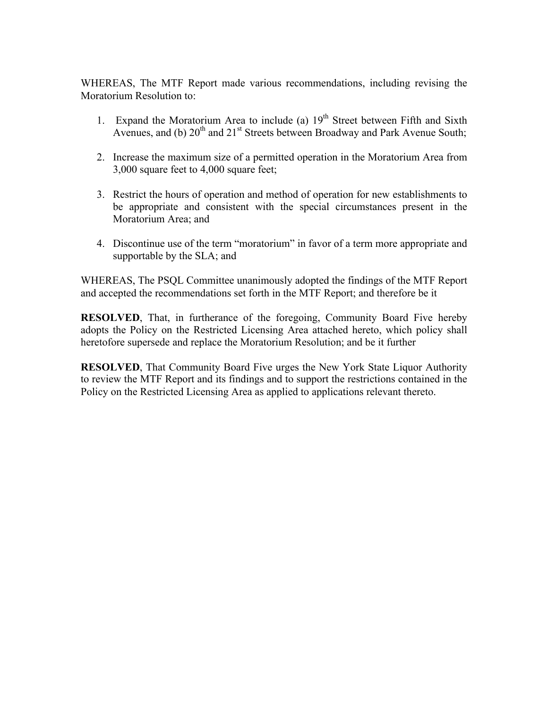WHEREAS, The MTF Report made various recommendations, including revising the Moratorium Resolution to:

- 1. Expand the Moratorium Area to include (a)  $19<sup>th</sup>$  Street between Fifth and Sixth Avenues, and (b)  $20^{th}$  and  $21^{st}$  Streets between Broadway and Park Avenue South;
- 2. Increase the maximum size of a permitted operation in the Moratorium Area from 3,000 square feet to 4,000 square feet;
- 3. Restrict the hours of operation and method of operation for new establishments to be appropriate and consistent with the special circumstances present in the Moratorium Area; and
- 4. Discontinue use of the term "moratorium" in favor of a term more appropriate and supportable by the SLA; and

WHEREAS, The PSQL Committee unanimously adopted the findings of the MTF Report and accepted the recommendations set forth in the MTF Report; and therefore be it

**RESOLVED**, That, in furtherance of the foregoing, Community Board Five hereby adopts the Policy on the Restricted Licensing Area attached hereto, which policy shall heretofore supersede and replace the Moratorium Resolution; and be it further

**RESOLVED**, That Community Board Five urges the New York State Liquor Authority to review the MTF Report and its findings and to support the restrictions contained in the Policy on the Restricted Licensing Area as applied to applications relevant thereto.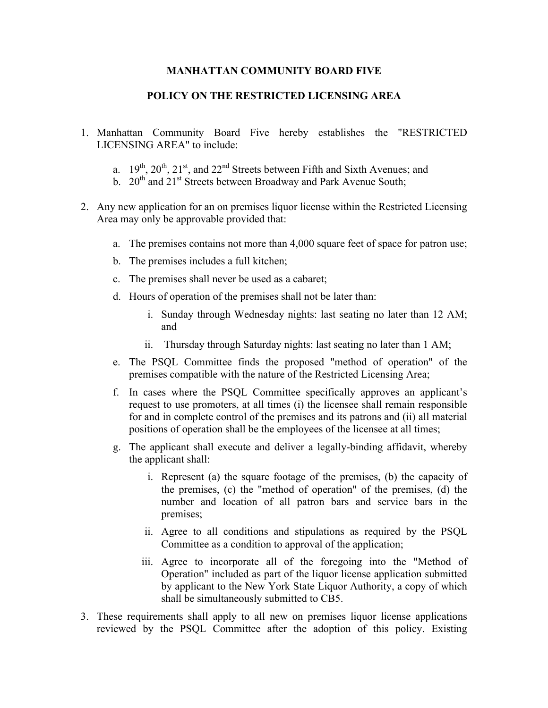## **MANHATTAN COMMUNITY BOARD FIVE**

## **POLICY ON THE RESTRICTED LICENSING AREA**

- 1. Manhattan Community Board Five hereby establishes the "RESTRICTED LICENSING AREA" to include:
	- a.  $19<sup>th</sup>$ ,  $20<sup>th</sup>$ ,  $21<sup>st</sup>$ , and  $22<sup>nd</sup>$  Streets between Fifth and Sixth Avenues; and
	- b.  $20^{th}$  and  $21^{st}$  Streets between Broadway and Park Avenue South;
- 2. Any new application for an on premises liquor license within the Restricted Licensing Area may only be approvable provided that:
	- a. The premises contains not more than 4,000 square feet of space for patron use;
	- b. The premises includes a full kitchen;
	- c. The premises shall never be used as a cabaret;
	- d. Hours of operation of the premises shall not be later than:
		- i. Sunday through Wednesday nights: last seating no later than 12 AM; and
		- ii. Thursday through Saturday nights: last seating no later than 1 AM;
	- e. The PSQL Committee finds the proposed "method of operation" of the premises compatible with the nature of the Restricted Licensing Area;
	- f. In cases where the PSQL Committee specifically approves an applicant's request to use promoters, at all times (i) the licensee shall remain responsible for and in complete control of the premises and its patrons and (ii) all material positions of operation shall be the employees of the licensee at all times;
	- g. The applicant shall execute and deliver a legally-binding affidavit, whereby the applicant shall:
		- i. Represent (a) the square footage of the premises, (b) the capacity of the premises, (c) the "method of operation" of the premises, (d) the number and location of all patron bars and service bars in the premises;
		- ii. Agree to all conditions and stipulations as required by the PSQL Committee as a condition to approval of the application;
		- iii. Agree to incorporate all of the foregoing into the "Method of Operation" included as part of the liquor license application submitted by applicant to the New York State Liquor Authority, a copy of which shall be simultaneously submitted to CB5.
- 3. These requirements shall apply to all new on premises liquor license applications reviewed by the PSQL Committee after the adoption of this policy. Existing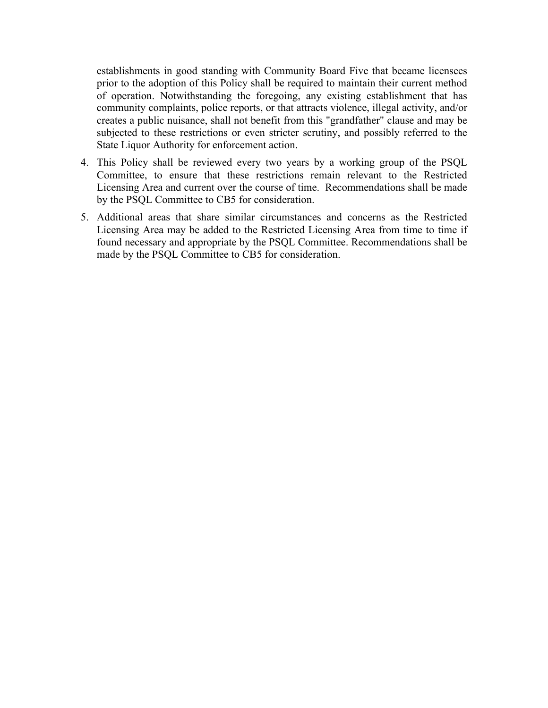establishments in good standing with Community Board Five that became licensees prior to the adoption of this Policy shall be required to maintain their current method of operation. Notwithstanding the foregoing, any existing establishment that has community complaints, police reports, or that attracts violence, illegal activity, and/or creates a public nuisance, shall not benefit from this "grandfather" clause and may be subjected to these restrictions or even stricter scrutiny, and possibly referred to the State Liquor Authority for enforcement action.

- 4. This Policy shall be reviewed every two years by a working group of the PSQL Committee, to ensure that these restrictions remain relevant to the Restricted Licensing Area and current over the course of time. Recommendations shall be made by the PSQL Committee to CB5 for consideration.
- 5. Additional areas that share similar circumstances and concerns as the Restricted Licensing Area may be added to the Restricted Licensing Area from time to time if found necessary and appropriate by the PSQL Committee. Recommendations shall be made by the PSQL Committee to CB5 for consideration.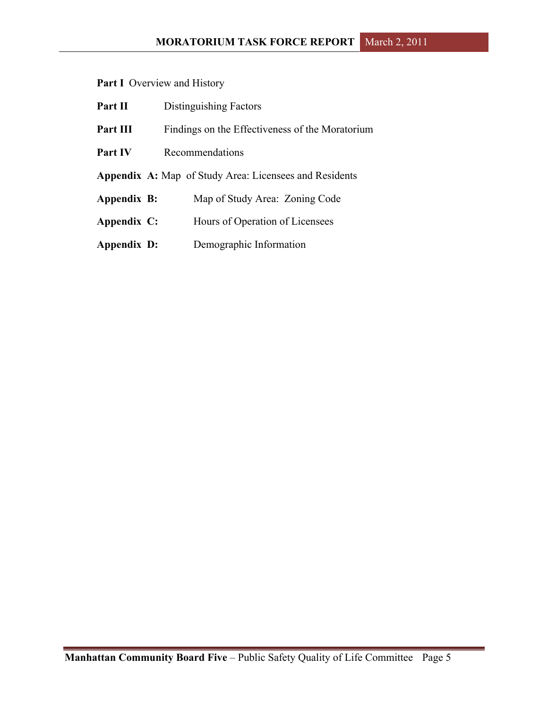Part I Overview and History

| Part II        | Distinguishing Factors                                        |  |  |
|----------------|---------------------------------------------------------------|--|--|
| Part III       | Findings on the Effectiveness of the Moratorium               |  |  |
| <b>Part IV</b> | Recommendations                                               |  |  |
|                | <b>Appendix A:</b> Map of Study Area: Licensees and Residents |  |  |
| Appendix B:    | Map of Study Area: Zoning Code                                |  |  |
| Appendix C:    | Hours of Operation of Licensees                               |  |  |
| Appendix D:    | Demographic Information                                       |  |  |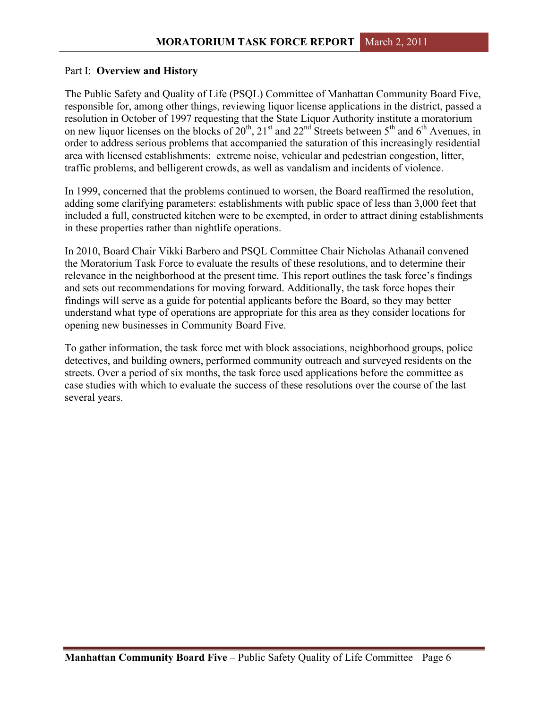### Part I: **Overview and History**

The Public Safety and Quality of Life (PSQL) Committee of Manhattan Community Board Five, responsible for, among other things, reviewing liquor license applications in the district, passed a resolution in October of 1997 requesting that the State Liquor Authority institute a moratorium on new liquor licenses on the blocks of  $20^{th}$ ,  $21^{st}$  and  $22^{nd}$  Streets between  $5^{th}$  and  $6^{th}$  Avenues, in order to address serious problems that accompanied the saturation of this increasingly residential area with licensed establishments: extreme noise, vehicular and pedestrian congestion, litter, traffic problems, and belligerent crowds, as well as vandalism and incidents of violence.

In 1999, concerned that the problems continued to worsen, the Board reaffirmed the resolution, adding some clarifying parameters: establishments with public space of less than 3,000 feet that included a full, constructed kitchen were to be exempted, in order to attract dining establishments in these properties rather than nightlife operations.

In 2010, Board Chair Vikki Barbero and PSQL Committee Chair Nicholas Athanail convened the Moratorium Task Force to evaluate the results of these resolutions, and to determine their relevance in the neighborhood at the present time. This report outlines the task force's findings and sets out recommendations for moving forward. Additionally, the task force hopes their findings will serve as a guide for potential applicants before the Board, so they may better understand what type of operations are appropriate for this area as they consider locations for opening new businesses in Community Board Five.

To gather information, the task force met with block associations, neighborhood groups, police detectives, and building owners, performed community outreach and surveyed residents on the streets. Over a period of six months, the task force used applications before the committee as case studies with which to evaluate the success of these resolutions over the course of the last several years.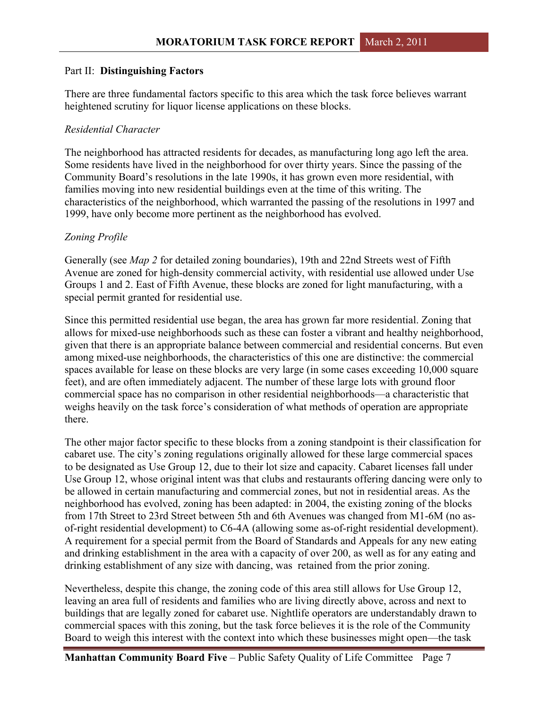## Part II: **Distinguishing Factors**

There are three fundamental factors specific to this area which the task force believes warrant heightened scrutiny for liquor license applications on these blocks.

## *Residential Character*

The neighborhood has attracted residents for decades, as manufacturing long ago left the area. Some residents have lived in the neighborhood for over thirty years. Since the passing of the Community Board's resolutions in the late 1990s, it has grown even more residential, with families moving into new residential buildings even at the time of this writing. The characteristics of the neighborhood, which warranted the passing of the resolutions in 1997 and 1999, have only become more pertinent as the neighborhood has evolved.

## *Zoning Profile*

Generally (see *Map 2* for detailed zoning boundaries), 19th and 22nd Streets west of Fifth Avenue are zoned for high-density commercial activity, with residential use allowed under Use Groups 1 and 2. East of Fifth Avenue, these blocks are zoned for light manufacturing, with a special permit granted for residential use.

Since this permitted residential use began, the area has grown far more residential. Zoning that allows for mixed-use neighborhoods such as these can foster a vibrant and healthy neighborhood, given that there is an appropriate balance between commercial and residential concerns. But even among mixed-use neighborhoods, the characteristics of this one are distinctive: the commercial spaces available for lease on these blocks are very large (in some cases exceeding 10,000 square feet), and are often immediately adjacent. The number of these large lots with ground floor commercial space has no comparison in other residential neighborhoods—a characteristic that weighs heavily on the task force's consideration of what methods of operation are appropriate there.

The other major factor specific to these blocks from a zoning standpoint is their classification for cabaret use. The city's zoning regulations originally allowed for these large commercial spaces to be designated as Use Group 12, due to their lot size and capacity. Cabaret licenses fall under Use Group 12, whose original intent was that clubs and restaurants offering dancing were only to be allowed in certain manufacturing and commercial zones, but not in residential areas. As the neighborhood has evolved, zoning has been adapted: in 2004, the existing zoning of the blocks from 17th Street to 23rd Street between 5th and 6th Avenues was changed from M1-6M (no asof-right residential development) to C6-4A (allowing some as-of-right residential development). A requirement for a special permit from the Board of Standards and Appeals for any new eating and drinking establishment in the area with a capacity of over 200, as well as for any eating and drinking establishment of any size with dancing, was retained from the prior zoning.

Nevertheless, despite this change, the zoning code of this area still allows for Use Group 12, leaving an area full of residents and families who are living directly above, across and next to buildings that are legally zoned for cabaret use. Nightlife operators are understandably drawn to commercial spaces with this zoning, but the task force believes it is the role of the Community Board to weigh this interest with the context into which these businesses might open—the task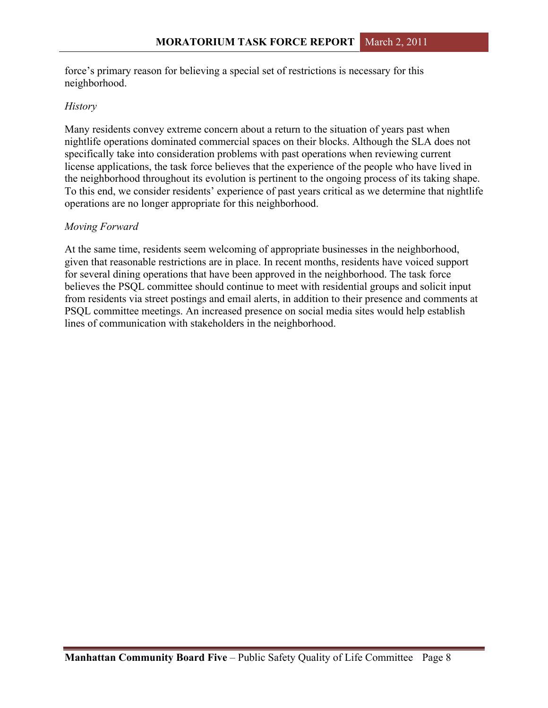force's primary reason for believing a special set of restrictions is necessary for this neighborhood.

## *History*

Many residents convey extreme concern about a return to the situation of years past when nightlife operations dominated commercial spaces on their blocks. Although the SLA does not specifically take into consideration problems with past operations when reviewing current license applications, the task force believes that the experience of the people who have lived in the neighborhood throughout its evolution is pertinent to the ongoing process of its taking shape. To this end, we consider residents' experience of past years critical as we determine that nightlife operations are no longer appropriate for this neighborhood.

## *Moving Forward*

At the same time, residents seem welcoming of appropriate businesses in the neighborhood, given that reasonable restrictions are in place. In recent months, residents have voiced support for several dining operations that have been approved in the neighborhood. The task force believes the PSQL committee should continue to meet with residential groups and solicit input from residents via street postings and email alerts, in addition to their presence and comments at PSQL committee meetings. An increased presence on social media sites would help establish lines of communication with stakeholders in the neighborhood.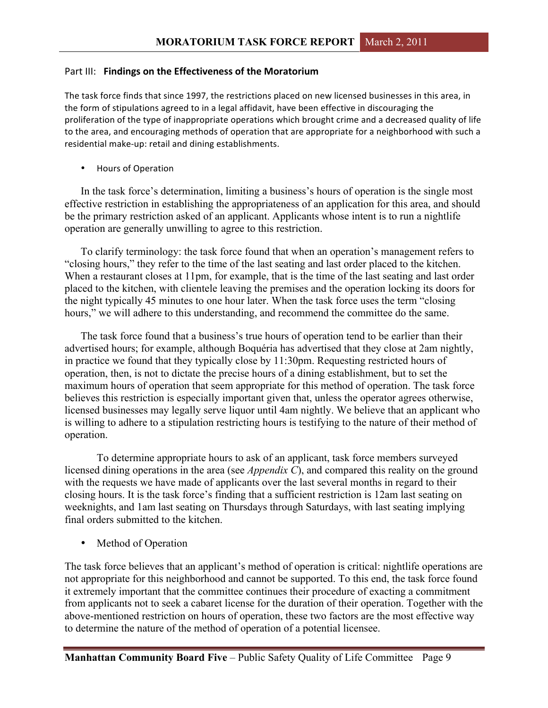#### Part III: **Findings on the Effectiveness of the Moratorium**

The task force finds that since 1997, the restrictions placed on new licensed businesses in this area, in the form of stipulations agreed to in a legal affidavit, have been effective in discouraging the proliferation of the type of inappropriate operations which brought crime and a decreased quality of life to the area, and encouraging methods of operation that are appropriate for a neighborhood with such a residential make-up: retail and dining establishments.

• Hours of Operation

In the task force's determination, limiting a business's hours of operation is the single most effective restriction in establishing the appropriateness of an application for this area, and should be the primary restriction asked of an applicant. Applicants whose intent is to run a nightlife operation are generally unwilling to agree to this restriction.

To clarify terminology: the task force found that when an operation's management refers to "closing hours," they refer to the time of the last seating and last order placed to the kitchen. When a restaurant closes at 11pm, for example, that is the time of the last seating and last order placed to the kitchen, with clientele leaving the premises and the operation locking its doors for the night typically 45 minutes to one hour later. When the task force uses the term "closing hours," we will adhere to this understanding, and recommend the committee do the same.

The task force found that a business's true hours of operation tend to be earlier than their advertised hours; for example, although Boquéria has advertised that they close at 2am nightly, in practice we found that they typically close by 11:30pm. Requesting restricted hours of operation, then, is not to dictate the precise hours of a dining establishment, but to set the maximum hours of operation that seem appropriate for this method of operation. The task force believes this restriction is especially important given that, unless the operator agrees otherwise, licensed businesses may legally serve liquor until 4am nightly. We believe that an applicant who is willing to adhere to a stipulation restricting hours is testifying to the nature of their method of operation.

To determine appropriate hours to ask of an applicant, task force members surveyed licensed dining operations in the area (see *Appendix C*), and compared this reality on the ground with the requests we have made of applicants over the last several months in regard to their closing hours. It is the task force's finding that a sufficient restriction is 12am last seating on weeknights, and 1am last seating on Thursdays through Saturdays, with last seating implying final orders submitted to the kitchen.

Method of Operation

The task force believes that an applicant's method of operation is critical: nightlife operations are not appropriate for this neighborhood and cannot be supported. To this end, the task force found it extremely important that the committee continues their procedure of exacting a commitment from applicants not to seek a cabaret license for the duration of their operation. Together with the above-mentioned restriction on hours of operation, these two factors are the most effective way to determine the nature of the method of operation of a potential licensee.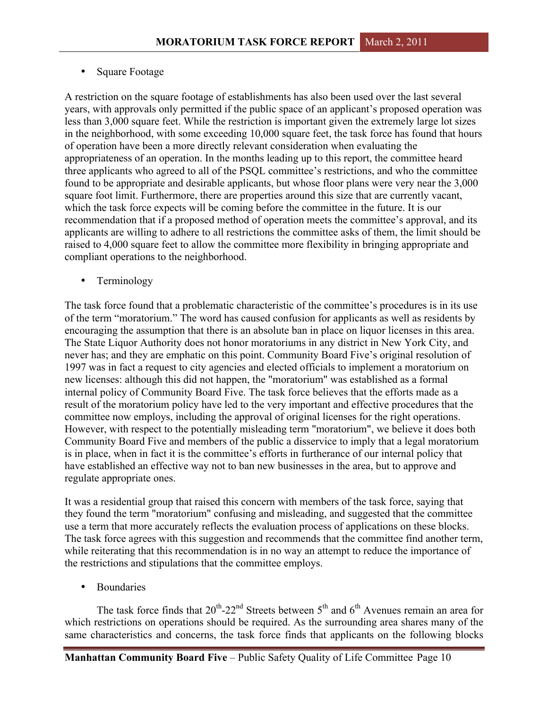## • Square Footage

A restriction on the square footage of establishments has also been used over the last several years, with approvals only permitted if the public space of an applicant's proposed operation was less than 3,000 square feet. While the restriction is important given the extremely large lot sizes in the neighborhood, with some exceeding 10,000 square feet, the task force has found that hours of operation have been a more directly relevant consideration when evaluating the appropriateness of an operation. In the months leading up to this report, the committee heard three applicants who agreed to all of the PSQL committee's restrictions, and who the committee found to be appropriate and desirable applicants, but whose floor plans were very near the 3,000 square foot limit. Furthermore, there are properties around this size that are currently vacant, which the task force expects will be coming before the committee in the future. It is our recommendation that if a proposed method of operation meets the committee's approval, and its applicants are willing to adhere to all restrictions the committee asks of them, the limit should be raised to 4,000 square feet to allow the committee more flexibility in bringing appropriate and compliant operations to the neighborhood.

• Terminology

The task force found that a problematic characteristic of the committee's procedures is in its use of the term "moratorium." The word has caused confusion for applicants as well as residents by encouraging the assumption that there is an absolute ban in place on liquor licenses in this area. The State Liquor Authority does not honor moratoriums in any district in New York City, and never has; and they are emphatic on this point. Community Board Five's original resolution of 1997 was in fact a request to city agencies and elected officials to implement a moratorium on new licenses: although this did not happen, the "moratorium" was established as a formal internal policy of Community Board Five. The task force believes that the efforts made as a result of the moratorium policy have led to the very important and effective procedures that the committee now employs, including the approval of original licenses for the right operations. However, with respect to the potentially misleading term "moratorium", we believe it does both Community Board Five and members of the public a disservice to imply that a legal moratorium is in place, when in fact it is the committee's efforts in furtherance of our internal policy that have established an effective way not to ban new businesses in the area, but to approve and regulate appropriate ones.

It was a residential group that raised this concern with members of the task force, saying that they found the term "moratorium" confusing and misleading, and suggested that the committee use a term that more accurately reflects the evaluation process of applications on these blocks. The task force agrees with this suggestion and recommends that the committee find another term, while reiterating that this recommendation is in no way an attempt to reduce the importance of the restrictions and stipulations that the committee employs.

**Boundaries** 

The task force finds that  $20^{th}$ -22<sup>nd</sup> Streets between  $5^{th}$  and  $6^{th}$  Avenues remain an area for which restrictions on operations should be required. As the surrounding area shares many of the same characteristics and concerns, the task force finds that applicants on the following blocks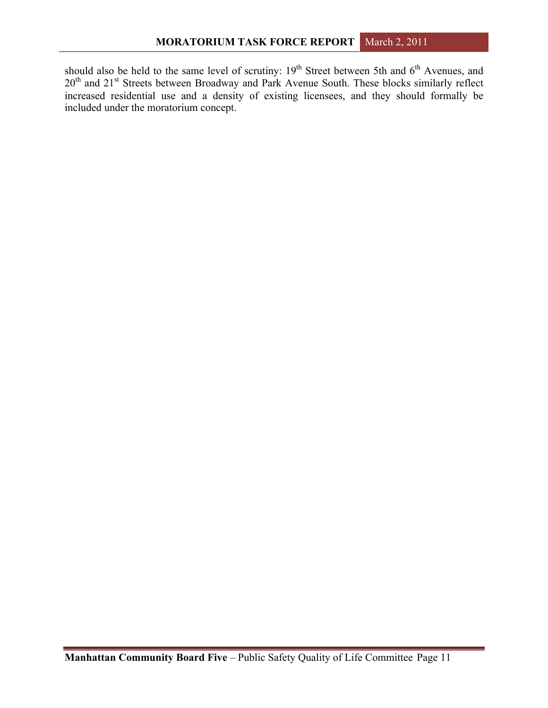should also be held to the same level of scrutiny:  $19<sup>th</sup>$  Street between 5th and  $6<sup>th</sup>$  Avenues, and 20<sup>th</sup> and 21<sup>st</sup> Streets between Broadway and Park Avenue South. These blocks similarly reflect increased residential use and a density of existing licensees, and they should formally be included under the moratorium concept.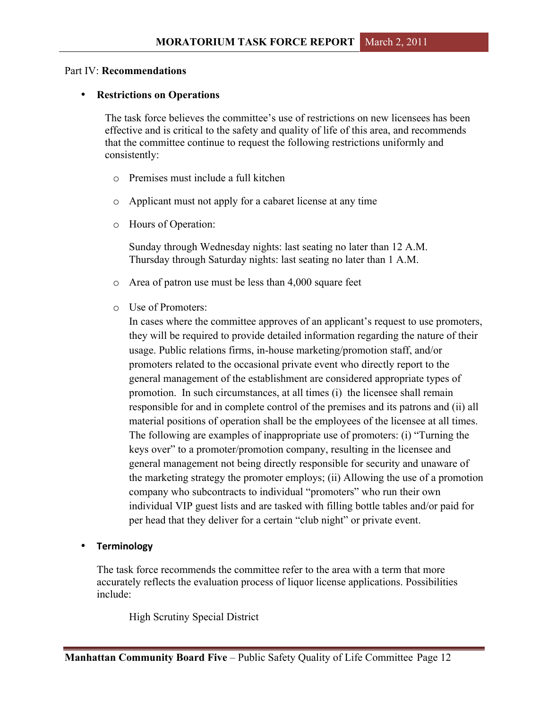#### Part IV: **Recommendations**

#### • **Restrictions on Operations**

The task force believes the committee's use of restrictions on new licensees has been effective and is critical to the safety and quality of life of this area, and recommends that the committee continue to request the following restrictions uniformly and consistently:

- o Premises must include a full kitchen
- o Applicant must not apply for a cabaret license at any time
- o Hours of Operation:

Sunday through Wednesday nights: last seating no later than 12 A.M. Thursday through Saturday nights: last seating no later than 1 A.M.

- o Area of patron use must be less than 4,000 square feet
- o Use of Promoters:

In cases where the committee approves of an applicant's request to use promoters, they will be required to provide detailed information regarding the nature of their usage. Public relations firms, in-house marketing/promotion staff, and/or promoters related to the occasional private event who directly report to the general management of the establishment are considered appropriate types of promotion. In such circumstances, at all times (i) the licensee shall remain responsible for and in complete control of the premises and its patrons and (ii) all material positions of operation shall be the employees of the licensee at all times. The following are examples of inappropriate use of promoters: (i) "Turning the keys over" to a promoter/promotion company, resulting in the licensee and general management not being directly responsible for security and unaware of the marketing strategy the promoter employs; (ii) Allowing the use of a promotion company who subcontracts to individual "promoters" who run their own individual VIP guest lists and are tasked with filling bottle tables and/or paid for per head that they deliver for a certain "club night" or private event.

### • **Terminology**

The task force recommends the committee refer to the area with a term that more accurately reflects the evaluation process of liquor license applications. Possibilities include:

High Scrutiny Special District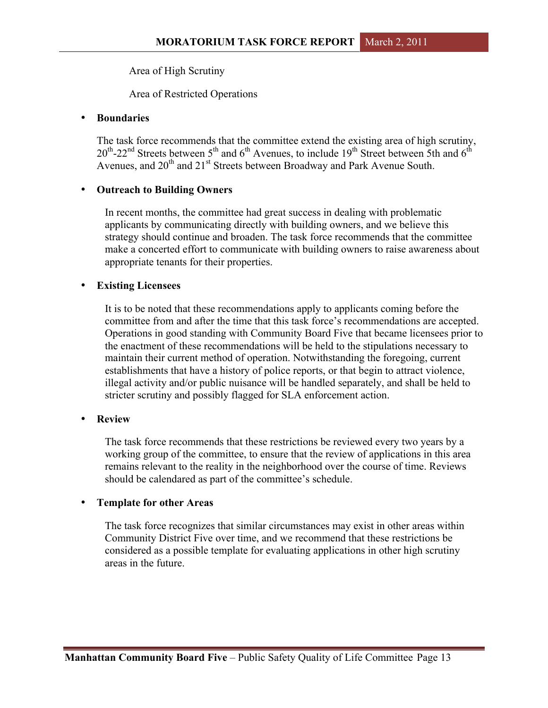Area of High Scrutiny

Area of Restricted Operations

### • **Boundaries**

The task force recommends that the committee extend the existing area of high scrutiny,  $20^{th}$ -22<sup>nd</sup> Streets between 5<sup>th</sup> and 6<sup>th</sup> Avenues, to include 19<sup>th</sup> Street between 5th and 6<sup>th</sup> Avenues, and 20<sup>th</sup> and 21<sup>st</sup> Streets between Broadway and Park Avenue South.

### • **Outreach to Building Owners**

In recent months, the committee had great success in dealing with problematic applicants by communicating directly with building owners, and we believe this strategy should continue and broaden. The task force recommends that the committee make a concerted effort to communicate with building owners to raise awareness about appropriate tenants for their properties.

### • **Existing Licensees**

It is to be noted that these recommendations apply to applicants coming before the committee from and after the time that this task force's recommendations are accepted. Operations in good standing with Community Board Five that became licensees prior to the enactment of these recommendations will be held to the stipulations necessary to maintain their current method of operation. Notwithstanding the foregoing, current establishments that have a history of police reports, or that begin to attract violence, illegal activity and/or public nuisance will be handled separately, and shall be held to stricter scrutiny and possibly flagged for SLA enforcement action.

### • **Review**

The task force recommends that these restrictions be reviewed every two years by a working group of the committee, to ensure that the review of applications in this area remains relevant to the reality in the neighborhood over the course of time. Reviews should be calendared as part of the committee's schedule.

### • **Template for other Areas**

The task force recognizes that similar circumstances may exist in other areas within Community District Five over time, and we recommend that these restrictions be considered as a possible template for evaluating applications in other high scrutiny areas in the future.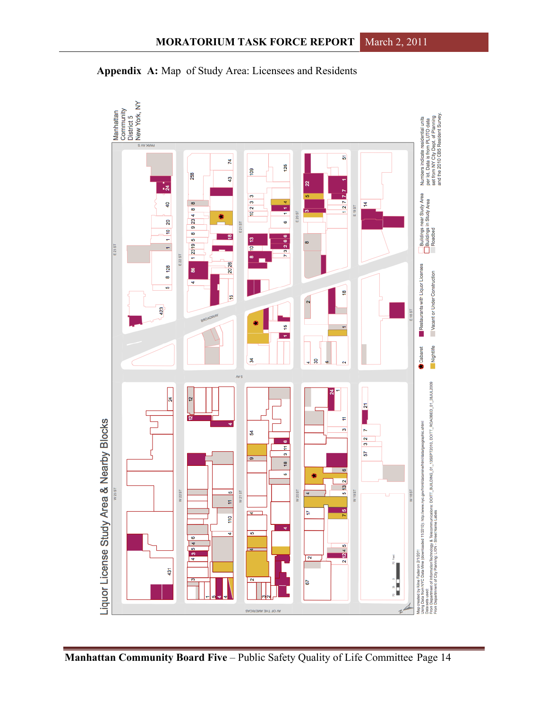

**Appendix A:** Map of Study Area: Licensees and Residents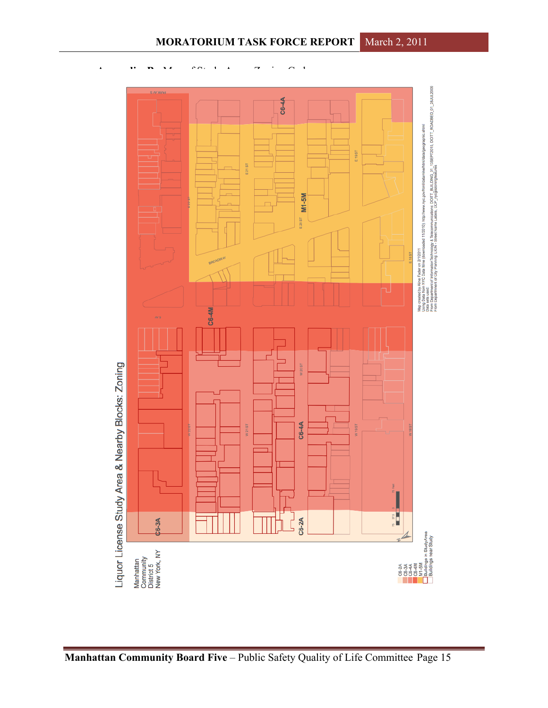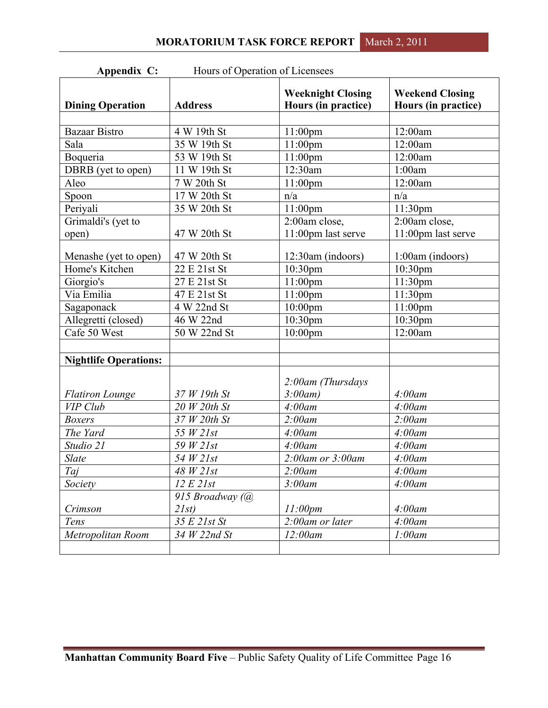| Appendix C: |  |
|-------------|--|
|-------------|--|

Hours of Operation of Licensees

| <b>Dining Operation</b>      | <b>Address</b>  | <b>Weeknight Closing</b><br>Hours (in practice) | <b>Weekend Closing</b><br>Hours (in practice) |
|------------------------------|-----------------|-------------------------------------------------|-----------------------------------------------|
|                              |                 |                                                 |                                               |
| <b>Bazaar Bistro</b>         | 4 W 19th St     | 11:00pm                                         | 12:00am                                       |
| Sala                         | 35 W 19th St    | $11:00$ pm                                      | 12:00am                                       |
| Boqueria                     | 53 W 19th St    | $11:00$ pm                                      | 12:00am                                       |
| DBRB (yet to open)           | 11 W 19th St    | 12:30am                                         | 1:00am                                        |
| Aleo                         | 7 W 20th St     | 11:00pm                                         | 12:00am                                       |
| Spoon                        | 17 W 20th St    | n/a                                             | n/a                                           |
| Periyali                     | 35 W 20th St    | 11:00pm                                         | 11:30 <sub>pm</sub>                           |
| Grimaldi's (yet to           |                 | 2:00am close,                                   | 2:00am close,                                 |
| open)                        | 47 W 20th St    | 11:00pm last serve                              | 11:00pm last serve                            |
| Menashe (yet to open)        | 47 W 20th St    | 12:30am (indoors)                               | $1:00am$ (indoors)                            |
| Home's Kitchen               | 22 E 21st St    | $10:30$ pm                                      | 10:30pm                                       |
| Giorgio's                    | 27 E 21st St    | 11:00pm                                         | 11:30pm                                       |
| Via Emilia                   | 47 E 21st St    | $11:00$ pm                                      | 11:30 <sub>pm</sub>                           |
| Sagaponack                   | 4 W 22nd St     | $10:00$ pm                                      | $11:00$ pm                                    |
| Allegretti (closed)          | 46 W 22nd       | 10:30 <sub>pm</sub>                             | 10:30 <sub>pm</sub>                           |
| Cafe 50 West                 | 50 W 22nd St    | $10:00$ pm                                      | 12:00am                                       |
|                              |                 |                                                 |                                               |
| <b>Nightlife Operations:</b> |                 |                                                 |                                               |
|                              |                 |                                                 |                                               |
|                              |                 | 2:00am (Thursdays                               |                                               |
| <b>Flatiron Lounge</b>       | 37 W 19th St    | 3:00am)                                         | $4:00$ am                                     |
| VIP Club                     | 20 W 20th St    | $4:00$ am                                       | $4:00$ am                                     |
| <b>Boxers</b>                | 37 W 20th St    | $2:00$ am                                       | 2:00am                                        |
| The Yard                     | 55 W 21st       | 4:00am                                          | $4:00$ am                                     |
| Studio 21                    | 59 W 21st       | $4:00$ am                                       | $4:00$ am                                     |
| Slate                        | 54 $W21st$      | $2:00$ am or $3:00$ am                          | $4:00$ am                                     |
| Taj                          | 48 W 21st       | $2:00$ am                                       | $4:00$ am                                     |
| Society                      | 12 E 21st       | $3:00$ am                                       | $4:00$ am                                     |
|                              | 915 Broadway (@ |                                                 |                                               |
| Crimson                      | 2Ist)           | 11:00pm                                         | $4:00$ am                                     |
| Tens                         | 35 E 21st St    | 2:00am or later                                 | 4:00am                                        |
| Metropolitan Room            | 34 W 22nd St    | 12:00am                                         | 1:00am                                        |
|                              |                 |                                                 |                                               |